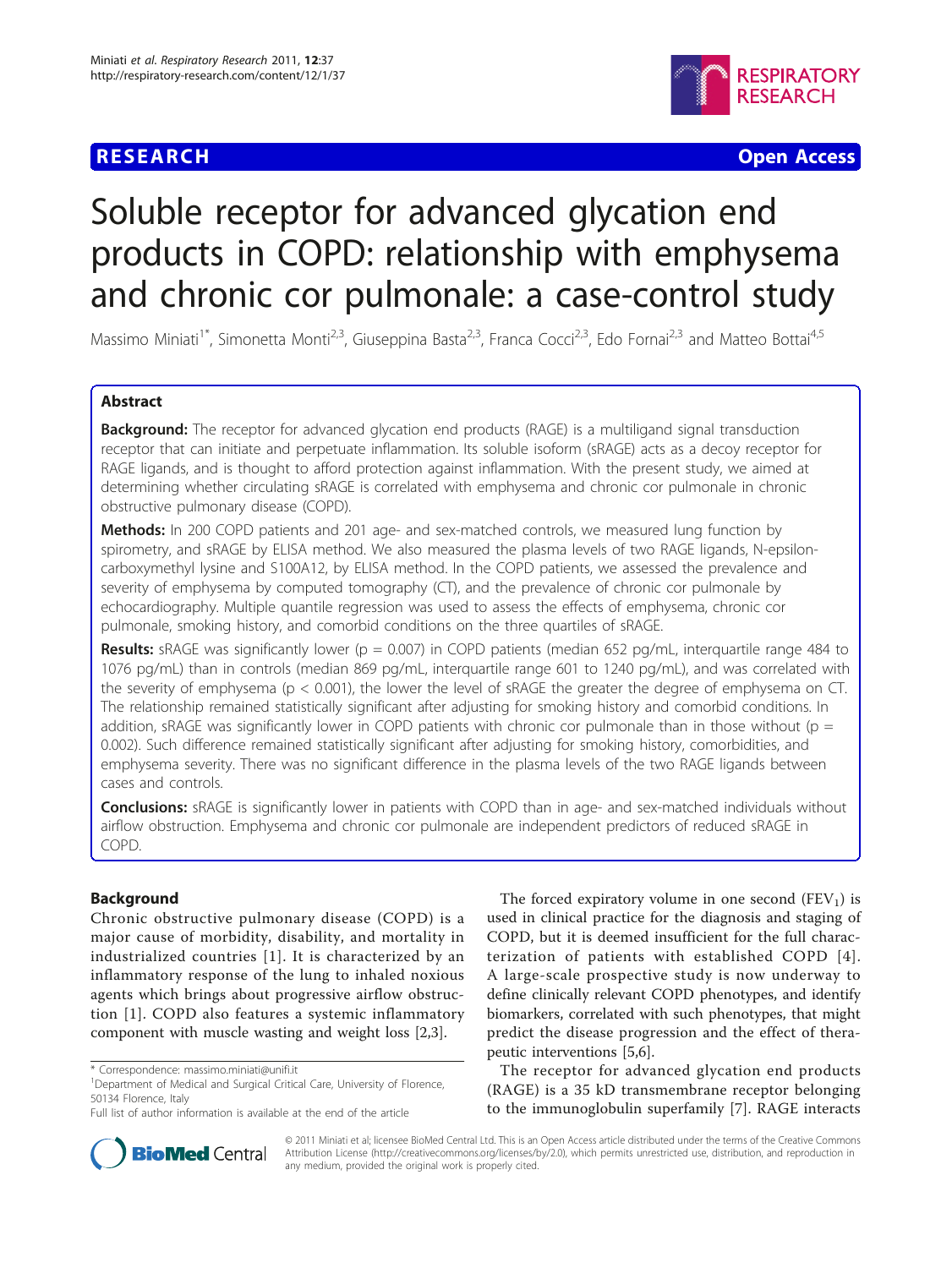# **RESEARCH CHRISTIAN CONSUMING A CONSUMING A CONSUMING A CONSUMING A CONSUMING A CONSUMING A CONSUMING A CONSUMIN**



# Soluble receptor for advanced glycation end products in COPD: relationship with emphysema and chronic cor pulmonale: a case-control study

Massimo Miniati<sup>1\*</sup>, Simonetta Monti<sup>2,3</sup>, Giuseppina Basta<sup>2,3</sup>, Franca Cocci<sup>2,3</sup>, Edo Fornai<sup>2,3</sup> and Matteo Bottai<sup>4,5</sup>

# Abstract

**Background:** The receptor for advanced glycation end products (RAGE) is a multiligand signal transduction receptor that can initiate and perpetuate inflammation. Its soluble isoform (sRAGE) acts as a decoy receptor for RAGE ligands, and is thought to afford protection against inflammation. With the present study, we aimed at determining whether circulating sRAGE is correlated with emphysema and chronic cor pulmonale in chronic obstructive pulmonary disease (COPD).

Methods: In 200 COPD patients and 201 age- and sex-matched controls, we measured lung function by spirometry, and sRAGE by ELISA method. We also measured the plasma levels of two RAGE ligands, N-epsiloncarboxymethyl lysine and S100A12, by ELISA method. In the COPD patients, we assessed the prevalence and severity of emphysema by computed tomography (CT), and the prevalence of chronic cor pulmonale by echocardiography. Multiple quantile regression was used to assess the effects of emphysema, chronic cor pulmonale, smoking history, and comorbid conditions on the three quartiles of sRAGE.

**Results:** sRAGE was significantly lower ( $p = 0.007$ ) in COPD patients (median 652 pg/mL, interquartile range 484 to 1076 pg/mL) than in controls (median 869 pg/mL, interquartile range 601 to 1240 pg/mL), and was correlated with the severity of emphysema (p < 0.001), the lower the level of sRAGE the greater the degree of emphysema on CT. The relationship remained statistically significant after adjusting for smoking history and comorbid conditions. In addition, sRAGE was significantly lower in COPD patients with chronic cor pulmonale than in those without ( $p =$ 0.002). Such difference remained statistically significant after adjusting for smoking history, comorbidities, and emphysema severity. There was no significant difference in the plasma levels of the two RAGE ligands between cases and controls.

Conclusions: sRAGE is significantly lower in patients with COPD than in age- and sex-matched individuals without airflow obstruction. Emphysema and chronic cor pulmonale are independent predictors of reduced sRAGE in COPD.

# Background

Chronic obstructive pulmonary disease (COPD) is a major cause of morbidity, disability, and mortality in industrialized countries [[1](#page-7-0)]. It is characterized by an inflammatory response of the lung to inhaled noxious agents which brings about progressive airflow obstruction [[1\]](#page-7-0). COPD also features a systemic inflammatory component with muscle wasting and weight loss [[2,3\]](#page-7-0).

The forced expiratory volume in one second  $(FEV_1)$  is used in clinical practice for the diagnosis and staging of COPD, but it is deemed insufficient for the full characterization of patients with established COPD [[4\]](#page-7-0). A large-scale prospective study is now underway to define clinically relevant COPD phenotypes, and identify biomarkers, correlated with such phenotypes, that might predict the disease progression and the effect of therapeutic interventions [[5](#page-7-0),[6\]](#page-7-0).

The receptor for advanced glycation end products (RAGE) is a 35 kD transmembrane receptor belonging to the immunoglobulin superfamily [[7\]](#page-7-0). RAGE interacts



© 2011 Miniati et al; licensee BioMed Central Ltd. This is an Open Access article distributed under the terms of the Creative Commons Attribution License [\(http://creativecommons.org/licenses/by/2.0](http://creativecommons.org/licenses/by/2.0)), which permits unrestricted use, distribution, and reproduction in any medium, provided the original work is properly cited.

<sup>\*</sup> Correspondence: [massimo.miniati@unifi.it](mailto:massimo.miniati@unifi.it)

<sup>&</sup>lt;sup>1</sup>Department of Medical and Surgical Critical Care, University of Florence, 50134 Florence, Italy

Full list of author information is available at the end of the article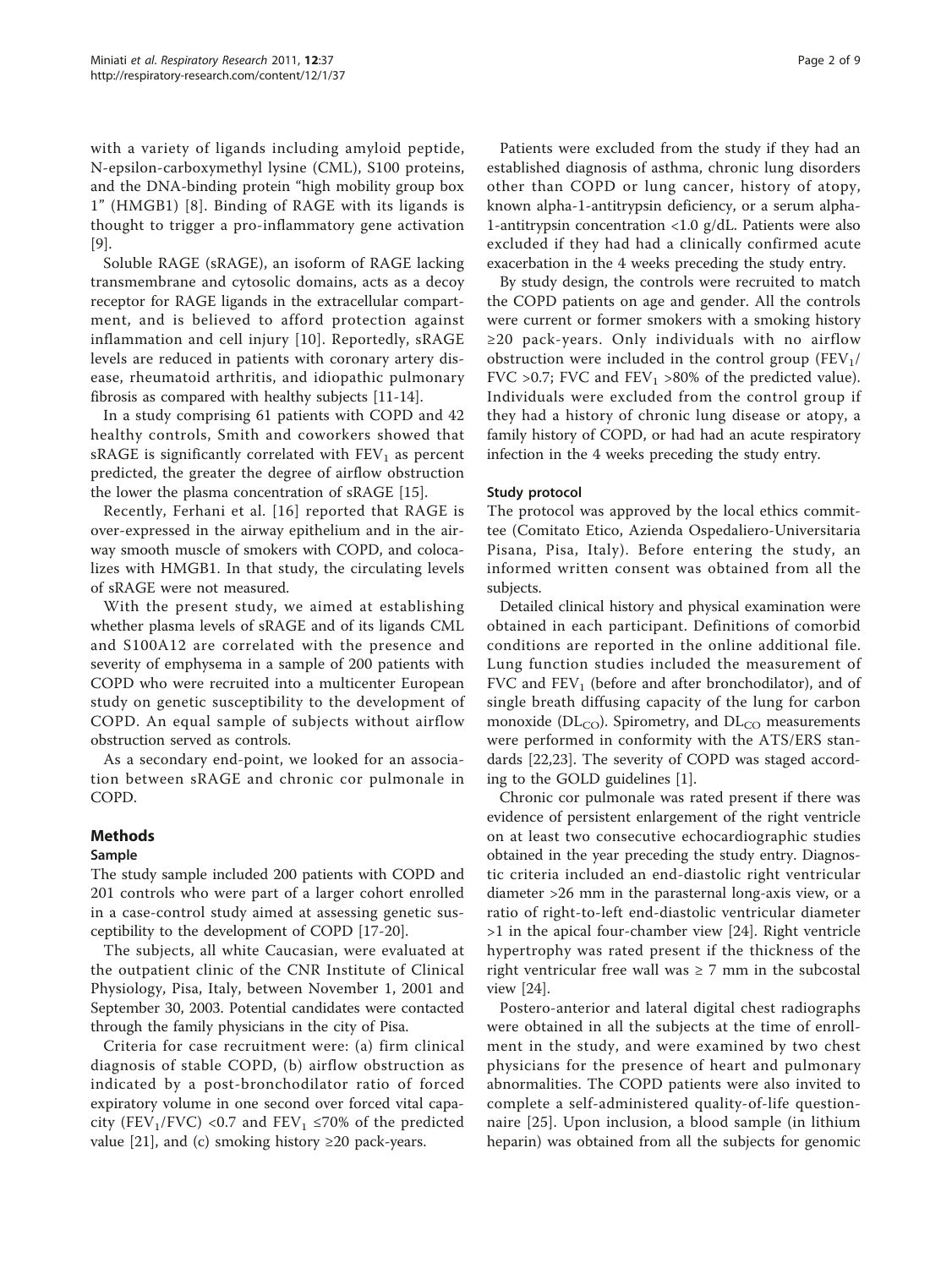with a variety of ligands including amyloid peptide, N-epsilon-carboxymethyl lysine (CML), S100 proteins, and the DNA-binding protein "high mobility group box 1" (HMGB1) [[8](#page-7-0)]. Binding of RAGE with its ligands is thought to trigger a pro-inflammatory gene activation [[9\]](#page-7-0).

Soluble RAGE (sRAGE), an isoform of RAGE lacking transmembrane and cytosolic domains, acts as a decoy receptor for RAGE ligands in the extracellular compartment, and is believed to afford protection against inflammation and cell injury [[10](#page-7-0)]. Reportedly, sRAGE levels are reduced in patients with coronary artery disease, rheumatoid arthritis, and idiopathic pulmonary fibrosis as compared with healthy subjects [[11](#page-7-0)-[14\]](#page-8-0).

In a study comprising 61 patients with COPD and 42 healthy controls, Smith and coworkers showed that sRAGE is significantly correlated with  $FEV<sub>1</sub>$  as percent predicted, the greater the degree of airflow obstruction the lower the plasma concentration of sRAGE [[15](#page-8-0)].

Recently, Ferhani et al. [[16](#page-8-0)] reported that RAGE is over-expressed in the airway epithelium and in the airway smooth muscle of smokers with COPD, and colocalizes with HMGB1. In that study, the circulating levels of sRAGE were not measured.

With the present study, we aimed at establishing whether plasma levels of sRAGE and of its ligands CML and S100A12 are correlated with the presence and severity of emphysema in a sample of 200 patients with COPD who were recruited into a multicenter European study on genetic susceptibility to the development of COPD. An equal sample of subjects without airflow obstruction served as controls.

As a secondary end-point, we looked for an association between sRAGE and chronic cor pulmonale in COPD.

# Methods

## Sample

The study sample included 200 patients with COPD and 201 controls who were part of a larger cohort enrolled in a case-control study aimed at assessing genetic susceptibility to the development of COPD [\[17](#page-8-0)-[20](#page-8-0)].

The subjects, all white Caucasian, were evaluated at the outpatient clinic of the CNR Institute of Clinical Physiology, Pisa, Italy, between November 1, 2001 and September 30, 2003. Potential candidates were contacted through the family physicians in the city of Pisa.

Criteria for case recruitment were: (a) firm clinical diagnosis of stable COPD, (b) airflow obstruction as indicated by a post-bronchodilator ratio of forced expiratory volume in one second over forced vital capacity (FEV<sub>1</sub>/FVC) <0.7 and FEV<sub>1</sub> ≤70% of the predicted value [\[21\]](#page-8-0), and (c) smoking history  $\geq$  20 pack-years.

Patients were excluded from the study if they had an established diagnosis of asthma, chronic lung disorders other than COPD or lung cancer, history of atopy, known alpha-1-antitrypsin deficiency, or a serum alpha-1-antitrypsin concentration <1.0 g/dL. Patients were also excluded if they had had a clinically confirmed acute exacerbation in the 4 weeks preceding the study entry.

By study design, the controls were recruited to match the COPD patients on age and gender. All the controls were current or former smokers with a smoking history ≥20 pack-years. Only individuals with no airflow obstruction were included in the control group  $(FEV_1 /$ FVC >0.7; FVC and  $FEV_1$  >80% of the predicted value). Individuals were excluded from the control group if they had a history of chronic lung disease or atopy, a family history of COPD, or had had an acute respiratory infection in the 4 weeks preceding the study entry.

## Study protocol

The protocol was approved by the local ethics committee (Comitato Etico, Azienda Ospedaliero-Universitaria Pisana, Pisa, Italy). Before entering the study, an informed written consent was obtained from all the subjects.

Detailed clinical history and physical examination were obtained in each participant. Definitions of comorbid conditions are reported in the online additional file. Lung function studies included the measurement of FVC and  $FEV<sub>1</sub>$  (before and after bronchodilator), and of single breath diffusing capacity of the lung for carbon monoxide ( $DL_{CO}$ ). Spirometry, and  $DL_{CO}$  measurements were performed in conformity with the ATS/ERS standards [[22,23\]](#page-8-0). The severity of COPD was staged according to the GOLD guidelines [[1\]](#page-7-0).

Chronic cor pulmonale was rated present if there was evidence of persistent enlargement of the right ventricle on at least two consecutive echocardiographic studies obtained in the year preceding the study entry. Diagnostic criteria included an end-diastolic right ventricular diameter >26 mm in the parasternal long-axis view, or a ratio of right-to-left end-diastolic ventricular diameter >1 in the apical four-chamber view [[24\]](#page-8-0). Right ventricle hypertrophy was rated present if the thickness of the right ventricular free wall was  $\geq 7$  mm in the subcostal view [\[24](#page-8-0)].

Postero-anterior and lateral digital chest radiographs were obtained in all the subjects at the time of enrollment in the study, and were examined by two chest physicians for the presence of heart and pulmonary abnormalities. The COPD patients were also invited to complete a self-administered quality-of-life questionnaire [[25](#page-8-0)]. Upon inclusion, a blood sample (in lithium heparin) was obtained from all the subjects for genomic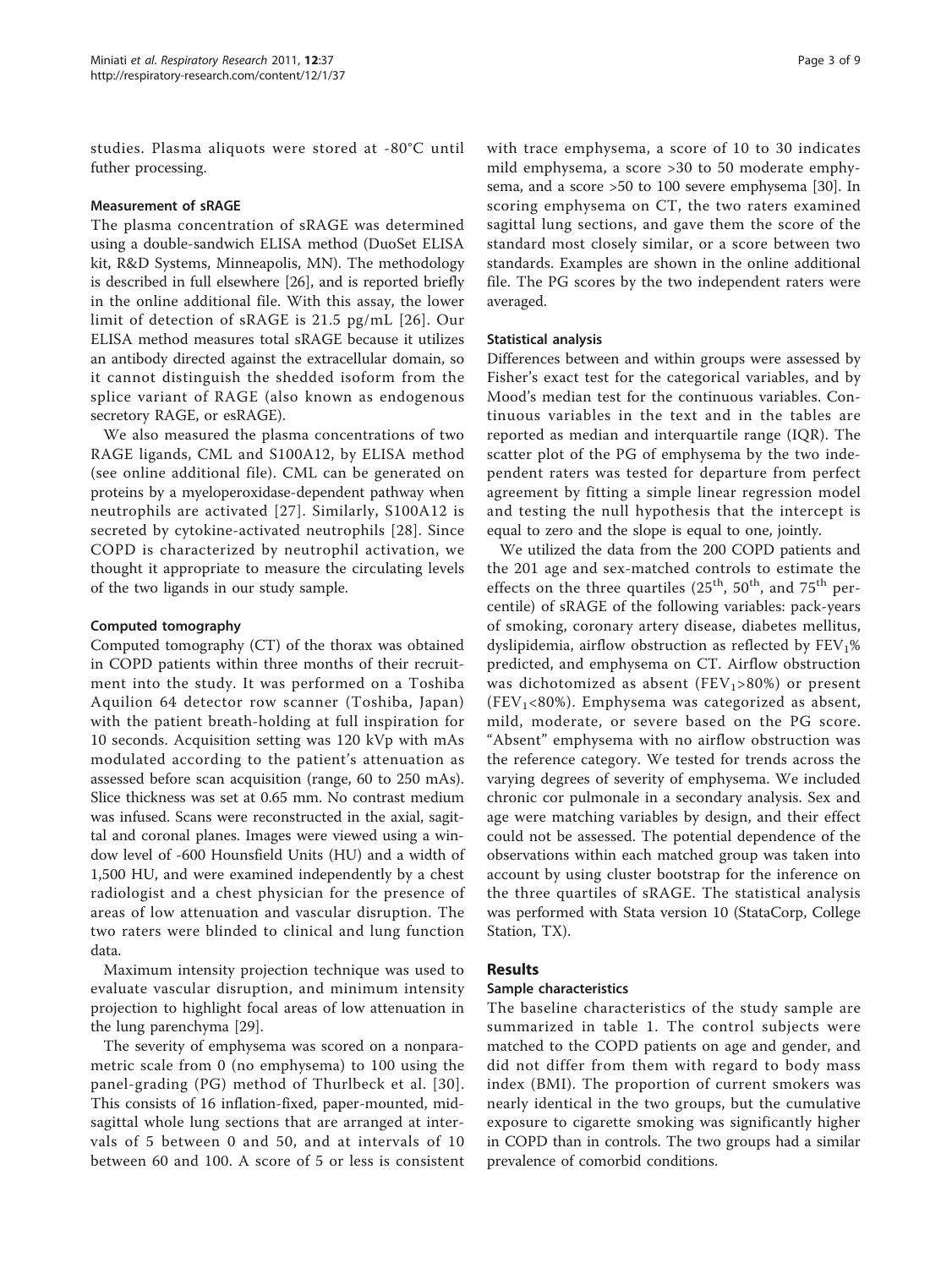studies. Plasma aliquots were stored at -80°C until futher processing.

# Measurement of sRAGE

The plasma concentration of sRAGE was determined using a double-sandwich ELISA method (DuoSet ELISA kit, R&D Systems, Minneapolis, MN). The methodology is described in full elsewhere [\[26](#page-8-0)], and is reported briefly in the online additional file. With this assay, the lower limit of detection of sRAGE is 21.5 pg/mL [[26\]](#page-8-0). Our ELISA method measures total sRAGE because it utilizes an antibody directed against the extracellular domain, so it cannot distinguish the shedded isoform from the splice variant of RAGE (also known as endogenous secretory RAGE, or esRAGE).

We also measured the plasma concentrations of two RAGE ligands, CML and S100A12, by ELISA method (see online additional file). CML can be generated on proteins by a myeloperoxidase-dependent pathway when neutrophils are activated [[27\]](#page-8-0). Similarly, S100A12 is secreted by cytokine-activated neutrophils [[28](#page-8-0)]. Since COPD is characterized by neutrophil activation, we thought it appropriate to measure the circulating levels of the two ligands in our study sample.

# Computed tomography

Computed tomography (CT) of the thorax was obtained in COPD patients within three months of their recruitment into the study. It was performed on a Toshiba Aquilion 64 detector row scanner (Toshiba, Japan) with the patient breath-holding at full inspiration for 10 seconds. Acquisition setting was 120 kVp with mAs modulated according to the patient's attenuation as assessed before scan acquisition (range, 60 to 250 mAs). Slice thickness was set at 0.65 mm. No contrast medium was infused. Scans were reconstructed in the axial, sagittal and coronal planes. Images were viewed using a window level of -600 Hounsfield Units (HU) and a width of 1,500 HU, and were examined independently by a chest radiologist and a chest physician for the presence of areas of low attenuation and vascular disruption. The two raters were blinded to clinical and lung function data.

Maximum intensity projection technique was used to evaluate vascular disruption, and minimum intensity projection to highlight focal areas of low attenuation in the lung parenchyma [[29\]](#page-8-0).

The severity of emphysema was scored on a nonparametric scale from 0 (no emphysema) to 100 using the panel-grading (PG) method of Thurlbeck et al. [[30\]](#page-8-0). This consists of 16 inflation-fixed, paper-mounted, midsagittal whole lung sections that are arranged at intervals of 5 between 0 and 50, and at intervals of 10 between 60 and 100. A score of 5 or less is consistent with trace emphysema, a score of 10 to 30 indicates mild emphysema, a score >30 to 50 moderate emphysema, and a score >50 to 100 severe emphysema [[30](#page-8-0)]. In scoring emphysema on CT, the two raters examined sagittal lung sections, and gave them the score of the standard most closely similar, or a score between two standards. Examples are shown in the online additional file. The PG scores by the two independent raters were averaged.

# Statistical analysis

Differences between and within groups were assessed by Fisher's exact test for the categorical variables, and by Mood's median test for the continuous variables. Continuous variables in the text and in the tables are reported as median and interquartile range (IQR). The scatter plot of the PG of emphysema by the two independent raters was tested for departure from perfect agreement by fitting a simple linear regression model and testing the null hypothesis that the intercept is equal to zero and the slope is equal to one, jointly.

We utilized the data from the 200 COPD patients and the 201 age and sex-matched controls to estimate the effects on the three quartiles  $(25^{th}, 50^{th},$  and  $75^{th}$  percentile) of sRAGE of the following variables: pack-years of smoking, coronary artery disease, diabetes mellitus, dyslipidemia, airflow obstruction as reflected by  $FEV<sub>1</sub>%$ predicted, and emphysema on CT. Airflow obstruction was dichotomized as absent ( $FEV_1>80%$ ) or present (FEV<sub>1</sub><80%). Emphysema was categorized as absent, mild, moderate, or severe based on the PG score. "Absent" emphysema with no airflow obstruction was the reference category. We tested for trends across the varying degrees of severity of emphysema. We included chronic cor pulmonale in a secondary analysis. Sex and age were matching variables by design, and their effect could not be assessed. The potential dependence of the observations within each matched group was taken into account by using cluster bootstrap for the inference on the three quartiles of sRAGE. The statistical analysis was performed with Stata version 10 (StataCorp, College Station, TX).

# Results

# Sample characteristics

The baseline characteristics of the study sample are summarized in table [1.](#page-3-0) The control subjects were matched to the COPD patients on age and gender, and did not differ from them with regard to body mass index (BMI). The proportion of current smokers was nearly identical in the two groups, but the cumulative exposure to cigarette smoking was significantly higher in COPD than in controls. The two groups had a similar prevalence of comorbid conditions.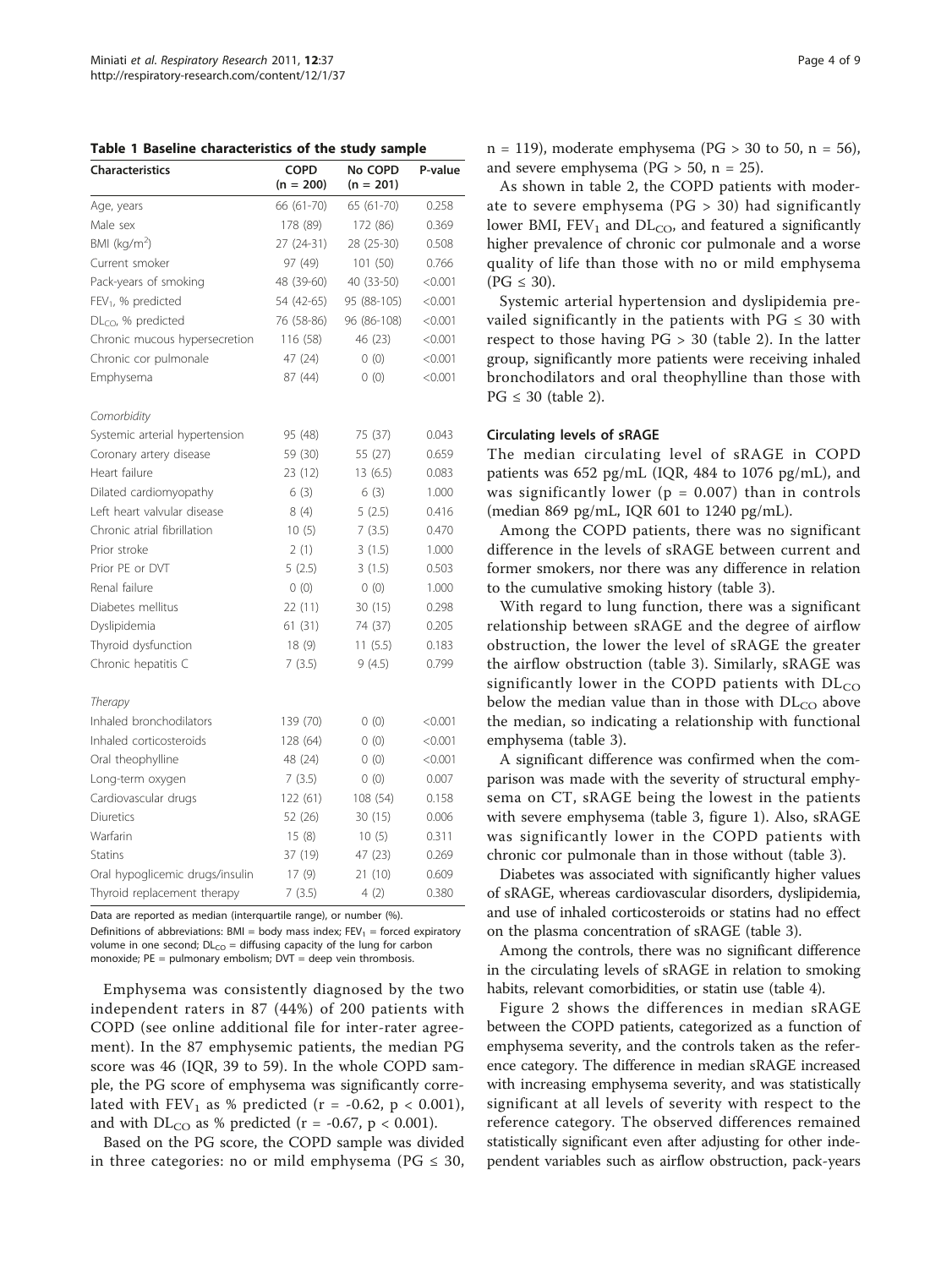<span id="page-3-0"></span>Table 1 Baseline characteristics of the study sample

| <b>Characteristics</b>          | <b>COPD</b><br>$(n = 200)$ | No COPD<br>$(n = 201)$ | P-value |
|---------------------------------|----------------------------|------------------------|---------|
| Age, years                      | 66 (61-70)                 | 65 (61-70)             |         |
| Male sex                        | 178 (89)                   | 172 (86)               | 0.369   |
| BMI (kg/m <sup>2</sup> )        | 27 (24-31)                 | 28 (25-30)             | 0.508   |
| Current smoker                  | 97 (49)                    | 101 (50)               | 0.766   |
| Pack-years of smoking           | 48 (39-60)                 | 40 (33-50)             | < 0.001 |
| $FEV1$ , % predicted            | 54 (42-65)                 | 95 (88-105)            | < 0.001 |
| $DLCO$ , % predicted            | 76 (58-86)                 | 96 (86-108)            | < 0.001 |
| Chronic mucous hypersecretion   | 116 (58)                   | 46 (23)                | < 0.001 |
| Chronic cor pulmonale           | 47 (24)                    | 0(0)                   | < 0.001 |
| Emphysema                       | 87 (44)                    | 0(0)                   | < 0.001 |
| Comorbidity                     |                            |                        |         |
| Systemic arterial hypertension  | 95 (48)                    | 75 (37)                | 0.043   |
| Coronary artery disease         | 59 (30)                    | 55 (27)                | 0.659   |
| Heart failure                   | 23 (12)                    | 13 (6.5)               | 0.083   |
| Dilated cardiomyopathy          | 6(3)                       | 6(3)                   | 1.000   |
| Left heart valvular disease     | 8(4)                       | 5(2.5)                 | 0.416   |
| Chronic atrial fibrillation     | 10(5)                      | 7(3.5)                 | 0.470   |
| Prior stroke                    | 2(1)                       | 3(1.5)                 | 1.000   |
| Prior PF or DVT                 | 5(2.5)                     | 3(1.5)                 | 0.503   |
| Renal failure                   | 0(0)                       | 0(0)                   | 1.000   |
| Diabetes mellitus               | 22 (11)<br>30(15)          |                        | 0.298   |
| Dyslipidemia                    | 61 (31)<br>74 (37)         |                        | 0.205   |
| Thyroid dysfunction             | 18(9)<br>11(5.5)           |                        | 0.183   |
| Chronic hepatitis C             | 7(3.5)                     | 9(4.5)                 | 0.799   |
| Therapy                         |                            |                        |         |
| Inhaled bronchodilators         | 139 (70)                   | 0(0)                   | < 0.001 |
| Inhaled corticosteroids         | 128 (64)                   | 0(0)                   | < 0.001 |
| Oral theophylline               | 48 (24)                    | 0(0)                   | < 0.001 |
| Long-term oxygen                | 7(3.5)                     | 0(0)                   | 0.007   |
| Cardiovascular drugs            | 122 (61)                   | 108 (54)               | 0.158   |
| Diuretics                       | 52 (26)                    | 30(15)                 | 0.006   |
| Warfarin                        | 15(8)                      | 10(5)                  | 0.311   |
| Statins                         | 37 (19)                    | 47 (23)                | 0.269   |
| Oral hypoglicemic drugs/insulin | 17 (9)                     | 21(10)                 | 0.609   |
| Thyroid replacement therapy     | 7(3.5)                     | 4(2)                   | 0.380   |

Data are reported as median (interquartile range), or number (%).

Definitions of abbreviations:  $BMI = body$  mass index:  $FEV_1 = forced$  expiratory volume in one second;  $DL_{CO}$  = diffusing capacity of the lung for carbon monoxide; PE = pulmonary embolism; DVT = deep vein thrombosis.

Emphysema was consistently diagnosed by the two independent raters in 87 (44%) of 200 patients with COPD (see online additional file for inter-rater agreement). In the 87 emphysemic patients, the median PG score was 46 (IQR, 39 to 59). In the whole COPD sample, the PG score of emphysema was significantly correlated with  $FEV_1$  as % predicted (r = -0.62, p < 0.001), and with  $DL_{CO}$  as % predicted (r = -0.67, p < 0.001).

Based on the PG score, the COPD sample was divided in three categories: no or mild emphysema ( $PG \leq 30$ ,  $n = 119$ ), moderate emphysema (PG > 30 to 50,  $n = 56$ ), and severe emphysema ( $PG > 50$ ,  $n = 25$ ).

As shown in table [2](#page-4-0), the COPD patients with moderate to severe emphysema (PG > 30) had significantly lower BMI,  $FEV_1$  and  $DL_{CO}$ , and featured a significantly higher prevalence of chronic cor pulmonale and a worse quality of life than those with no or mild emphysema  $(PG \leq 30)$ .

Systemic arterial hypertension and dyslipidemia prevailed significantly in the patients with  $PG \leq 30$  with respect to those having PG > 30 (table [2](#page-4-0)). In the latter group, significantly more patients were receiving inhaled bronchodilators and oral theophylline than those with  $PG \leq 30$  (table [2](#page-4-0)).

#### Circulating levels of sRAGE

The median circulating level of sRAGE in COPD patients was 652 pg/mL (IQR, 484 to 1076 pg/mL), and was significantly lower ( $p = 0.007$ ) than in controls (median 869 pg/mL, IQR 601 to 1240 pg/mL).

Among the COPD patients, there was no significant difference in the levels of sRAGE between current and former smokers, nor there was any difference in relation to the cumulative smoking history (table [3\)](#page-5-0).

With regard to lung function, there was a significant relationship between sRAGE and the degree of airflow obstruction, the lower the level of sRAGE the greater the airflow obstruction (table [3\)](#page-5-0). Similarly, sRAGE was significantly lower in the COPD patients with  $DL<sub>CO</sub>$ below the median value than in those with  $DL<sub>CO</sub>$  above the median, so indicating a relationship with functional emphysema (table [3\)](#page-5-0).

A significant difference was confirmed when the comparison was made with the severity of structural emphysema on CT, sRAGE being the lowest in the patients with severe emphysema (table [3](#page-5-0), figure [1\)](#page-6-0). Also, sRAGE was significantly lower in the COPD patients with chronic cor pulmonale than in those without (table [3](#page-5-0)).

Diabetes was associated with significantly higher values of sRAGE, whereas cardiovascular disorders, dyslipidemia, and use of inhaled corticosteroids or statins had no effect on the plasma concentration of sRAGE (table [3\)](#page-5-0).

Among the controls, there was no significant difference in the circulating levels of sRAGE in relation to smoking habits, relevant comorbidities, or statin use (table [4](#page-6-0)).

Figure [2](#page-7-0) shows the differences in median sRAGE between the COPD patients, categorized as a function of emphysema severity, and the controls taken as the reference category. The difference in median sRAGE increased with increasing emphysema severity, and was statistically significant at all levels of severity with respect to the reference category. The observed differences remained statistically significant even after adjusting for other independent variables such as airflow obstruction, pack-years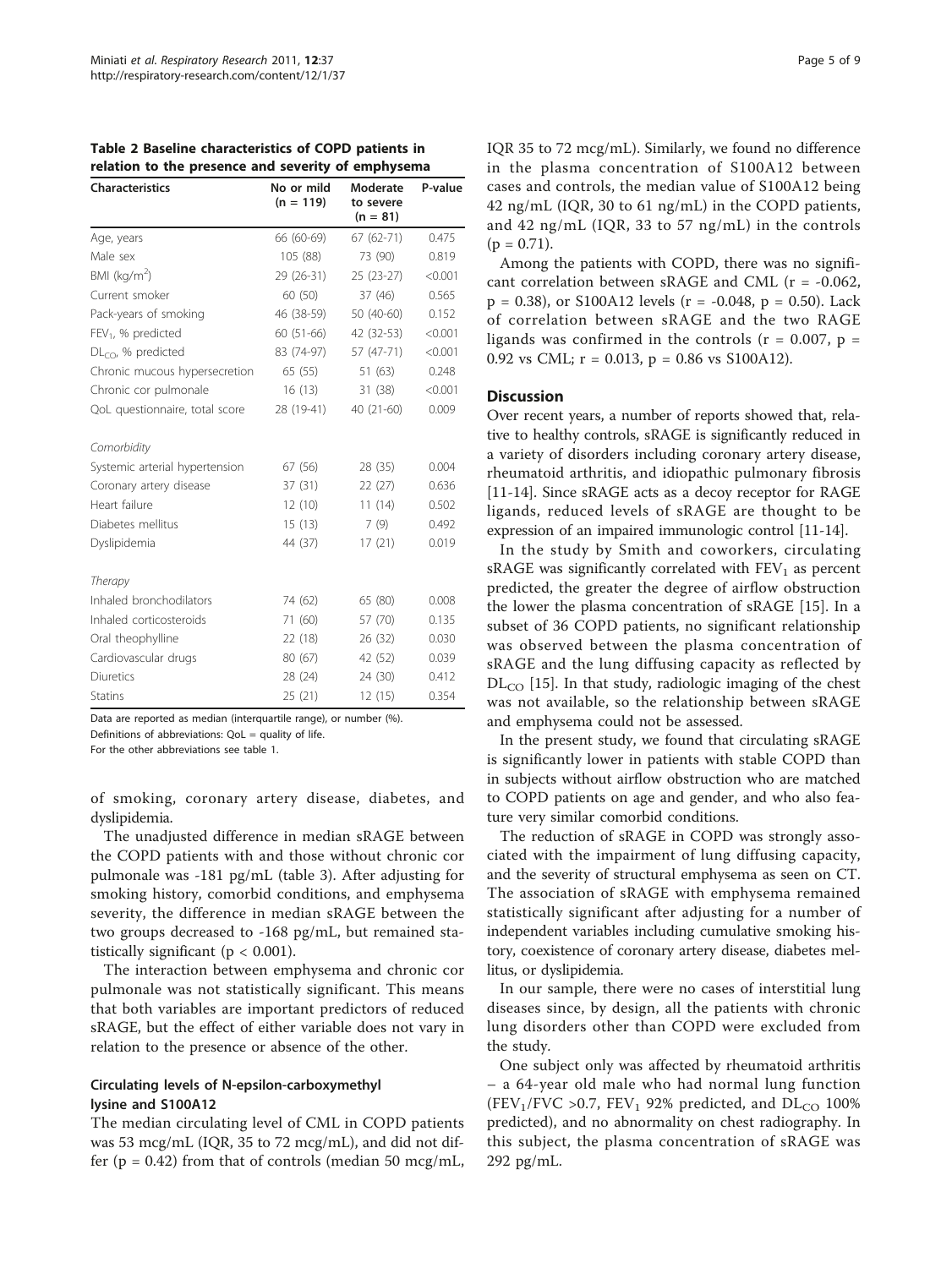<span id="page-4-0"></span>Table 2 Baseline characteristics of COPD patients in relation to the presence and severity of emphysema

| <b>Characteristics</b>         | No or mild<br>$(n = 119)$ | Moderate<br>to severe<br>$(n = 81)$ | P-value<br>0.475 |  |
|--------------------------------|---------------------------|-------------------------------------|------------------|--|
| Age, years                     | 66 (60-69)                | $67(62-71)$                         |                  |  |
| Male sex                       | 105 (88)                  | 73 (90)                             | 0.819            |  |
| BMI ( $kg/m2$ )                | 29 (26-31)                | 25 (23-27)                          | < 0.001          |  |
| Current smoker                 | 60 (50)                   | 37(46)                              | 0.565            |  |
| Pack-years of smoking          | 46 (38-59)                | 50 (40-60)                          | 0.152            |  |
| FEV <sub>1</sub> , % predicted | 60 (51-66)                | 42 (32-53)                          | < 0.001          |  |
| $DLCO$ , % predicted           | 83 (74-97)                | 57 (47-71)                          | < 0.001          |  |
| Chronic mucous hypersecretion  | 65 (55)                   | 51 (63)                             | 0.248            |  |
| Chronic cor pulmonale          | 16(13)                    | 31 (38)                             | < 0.001          |  |
| QoL questionnaire, total score | 28 (19-41)                | 40 (21-60)                          | 0.009            |  |
| Comorbidity                    |                           |                                     |                  |  |
| Systemic arterial hypertension | 67 (56)                   | 28 (35)                             | 0.004            |  |
| Coronary artery disease        | 37 (31)                   | 22 (27)                             | 0.636            |  |
| Heart failure                  | 12(10)                    | 11(14)                              | 0.502            |  |
| Diabetes mellitus              | 15(13)                    | 7(9)                                | 0.492            |  |
| Dyslipidemia                   | 44 (37)                   | 17(21)                              | 0.019            |  |
| Therapy                        |                           |                                     |                  |  |
| Inhaled bronchodilators        | 74 (62)                   | 65 (80)                             | 0.008            |  |
| Inhaled corticosteroids        | 71 (60)                   | 57 (70)                             | 0.135            |  |
| Oral theophylline              | 22 (18)                   | 26 (32)                             | 0.030            |  |
| Cardiovascular drugs           | 80 (67)                   | 42 (52)                             | 0.039            |  |
| <b>Diuretics</b>               | 28 (24)                   | 24 (30)                             | 0.412            |  |
| <b>Statins</b>                 | 25 (21)                   | 12(15)                              | 0.354            |  |

Data are reported as median (interquartile range), or number (%).

Definitions of abbreviations: QoL = quality of life.

For the other abbreviations see table 1.

of smoking, coronary artery disease, diabetes, and dyslipidemia.

The unadjusted difference in median sRAGE between the COPD patients with and those without chronic cor pulmonale was -181 pg/mL (table [3](#page-5-0)). After adjusting for smoking history, comorbid conditions, and emphysema severity, the difference in median sRAGE between the two groups decreased to -168 pg/mL, but remained statistically significant ( $p < 0.001$ ).

The interaction between emphysema and chronic cor pulmonale was not statistically significant. This means that both variables are important predictors of reduced sRAGE, but the effect of either variable does not vary in relation to the presence or absence of the other.

# Circulating levels of N-epsilon-carboxymethyl lysine and S100A12

The median circulating level of CML in COPD patients was 53 mcg/mL (IQR, 35 to 72 mcg/mL), and did not differ ( $p = 0.42$ ) from that of controls (median 50 mcg/mL, IQR 35 to 72 mcg/mL). Similarly, we found no difference in the plasma concentration of S100A12 between cases and controls, the median value of S100A12 being 42 ng/mL (IQR, 30 to 61 ng/mL) in the COPD patients, and 42 ng/mL (IQR, 33 to 57 ng/mL) in the controls  $(p = 0.71)$ .

Among the patients with COPD, there was no significant correlation between sRAGE and CML (r = -0.062,  $p = 0.38$ ), or S100A12 levels ( $r = -0.048$ ,  $p = 0.50$ ). Lack of correlation between sRAGE and the two RAGE ligands was confirmed in the controls ( $r = 0.007$ ,  $p =$ 0.92 vs CML;  $r = 0.013$ ,  $p = 0.86$  vs S100A12).

# **Discussion**

Over recent years, a number of reports showed that, relative to healthy controls, sRAGE is significantly reduced in a variety of disorders including coronary artery disease, rheumatoid arthritis, and idiopathic pulmonary fibrosis [[11-](#page-7-0)[14\]](#page-8-0). Since sRAGE acts as a decoy receptor for RAGE ligands, reduced levels of sRAGE are thought to be expression of an impaired immunologic control [\[11](#page-7-0)[-14\]](#page-8-0).

In the study by Smith and coworkers, circulating sRAGE was significantly correlated with  $FEV<sub>1</sub>$  as percent predicted, the greater the degree of airflow obstruction the lower the plasma concentration of sRAGE [\[15](#page-8-0)]. In a subset of 36 COPD patients, no significant relationship was observed between the plasma concentration of sRAGE and the lung diffusing capacity as reflected by  $DL_{CO}$  [\[15](#page-8-0)]. In that study, radiologic imaging of the chest was not available, so the relationship between sRAGE and emphysema could not be assessed.

In the present study, we found that circulating sRAGE is significantly lower in patients with stable COPD than in subjects without airflow obstruction who are matched to COPD patients on age and gender, and who also feature very similar comorbid conditions.

The reduction of sRAGE in COPD was strongly associated with the impairment of lung diffusing capacity, and the severity of structural emphysema as seen on CT. The association of sRAGE with emphysema remained statistically significant after adjusting for a number of independent variables including cumulative smoking history, coexistence of coronary artery disease, diabetes mellitus, or dyslipidemia.

In our sample, there were no cases of interstitial lung diseases since, by design, all the patients with chronic lung disorders other than COPD were excluded from the study.

One subject only was affected by rheumatoid arthritis – a 64-year old male who had normal lung function (FEV<sub>1</sub>/FVC >0.7, FEV<sub>1</sub> 92% predicted, and  $DL_{CO}$  100% predicted), and no abnormality on chest radiography. In this subject, the plasma concentration of sRAGE was 292 pg/mL.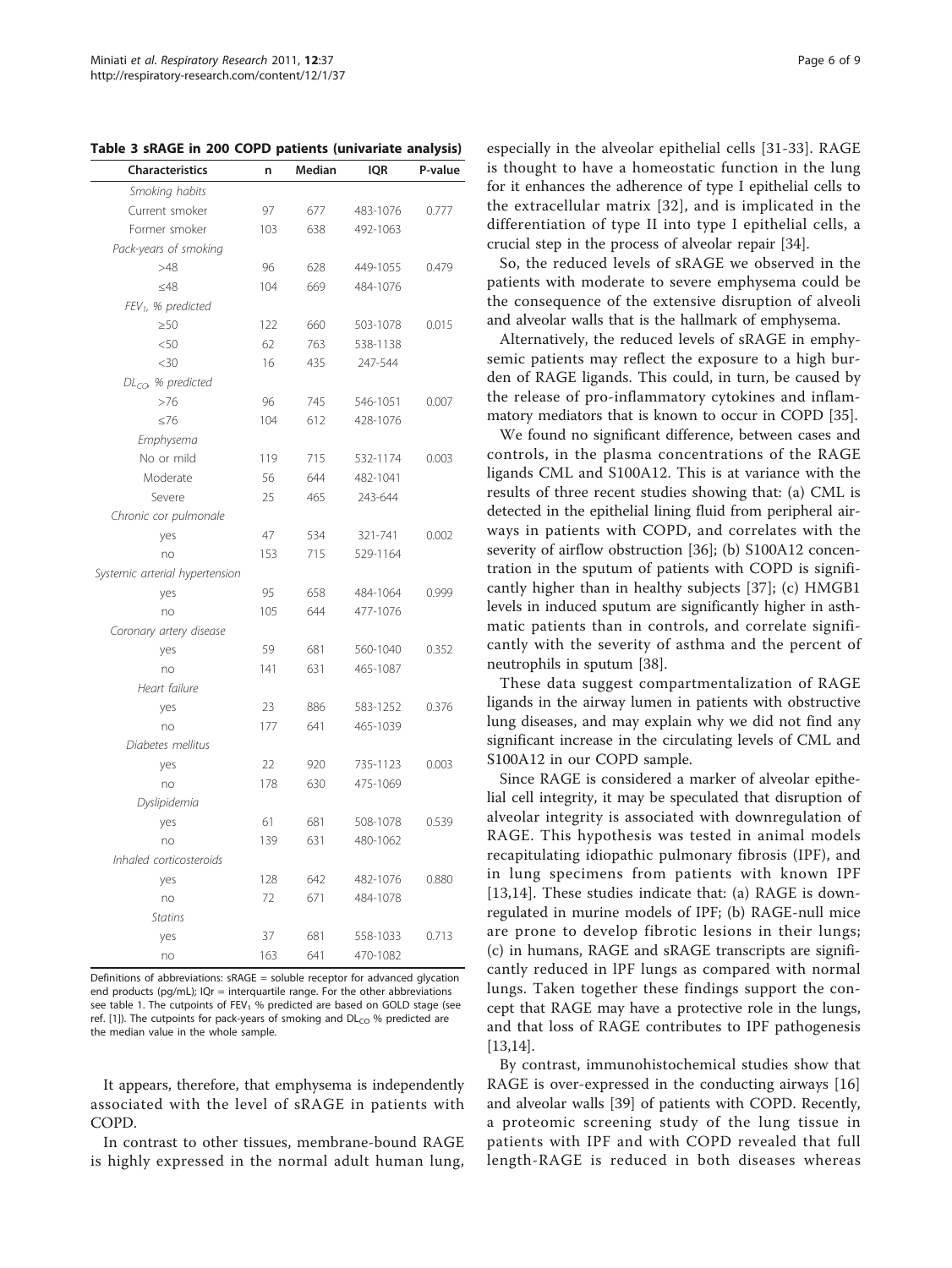| Characteristics                | n   | Median | <b>IQR</b> | P-value |
|--------------------------------|-----|--------|------------|---------|
| Smoking habits                 |     |        |            |         |
| Current smoker                 | 97  | 677    | 483-1076   | 0.777   |
| Former smoker                  | 103 | 638    | 492-1063   |         |
| Pack-years of smoking          |     |        |            |         |
| >48                            | 96  | 628    | 449-1055   | 0.479   |
| ≤48                            | 104 | 669    | 484-1076   |         |
| FEV <sub>1</sub> , % predicted |     |        |            |         |
| >50                            | 122 | 660    | 503-1078   | 0.015   |
| $50$                           | 62  | 763    | 538-1138   |         |
| $<$ 30                         | 16  | 435    | 247-544    |         |
| $DLCO$ % predicted             |     |        |            |         |
| >76                            | 96  | 745    | 546-1051   | 0.007   |
| $\leq 76$                      | 104 | 612    | 428-1076   |         |
| Emphysema                      |     |        |            |         |
| No or mild                     | 119 | 715    | 532-1174   | 0.003   |
| Moderate                       | 56  | 644    | 482-1041   |         |
| Severe                         | 25  | 465    | 243-644    |         |
| Chronic cor pulmonale          |     |        |            |         |
| yes                            | 47  | 534    | 321-741    | 0.002   |
| no                             | 153 | 715    | 529-1164   |         |
| Systemic arterial hypertension |     |        |            |         |
| yes                            | 95  | 658    | 484-1064   | 0.999   |
| no                             | 105 | 644    | 477-1076   |         |
| Coronary artery disease        |     |        |            |         |
| yes                            | 59  | 681    | 560-1040   | 0.352   |
| no                             | 141 | 631    | 465-1087   |         |
| Heart failure                  |     |        |            |         |
| yes                            | 23  | 886    | 583-1252   | 0.376   |
| no                             | 177 | 641    | 465-1039   |         |
| Diabetes mellitus              |     |        |            |         |
| yes                            | 22  | 920    | 735-1123   | 0.003   |
| no                             | 178 | 630    | 475-1069   |         |
| Dyslipidemia                   |     |        |            |         |
| yes                            | 61  | 681    | 508-1078   | 0.539   |
| no                             | 139 | 631    | 480-1062   |         |
| Inhaled corticosteroids        |     |        |            |         |
| yes                            | 128 | 642    | 482-1076   | 0.880   |
| no                             | 72  | 671    | 484-1078   |         |
| <b>Statins</b>                 |     |        |            |         |
| yes                            | 37  | 681    | 558-1033   | 0.713   |
| no                             | 163 | 641    | 470-1082   |         |

<span id="page-5-0"></span>Table 3 sRAGE in 200 COPD patients (univariate analysis)

Definitions of abbreviations:  $sRAGE = soluble receptor for advanced alvection$ end products (pg/mL); IQr = interquartile range. For the other abbreviations see table 1. The cutpoints of  $FEV_1$  % predicted are based on GOLD stage (see ref. [\[1\]](#page-7-0)). The cutpoints for pack-years of smoking and  $DL_{CO}$  % predicted are the median value in the whole sample.

It appears, therefore, that emphysema is independently associated with the level of sRAGE in patients with COPD.

In contrast to other tissues, membrane-bound RAGE is highly expressed in the normal adult human lung,

especially in the alveolar epithelial cells [[31-33](#page-8-0)]. RAGE is thought to have a homeostatic function in the lung for it enhances the adherence of type I epithelial cells to the extracellular matrix [[32\]](#page-8-0), and is implicated in the differentiation of type II into type I epithelial cells, a crucial step in the process of alveolar repair [[34](#page-8-0)].

So, the reduced levels of sRAGE we observed in the patients with moderate to severe emphysema could be the consequence of the extensive disruption of alveoli and alveolar walls that is the hallmark of emphysema.

Alternatively, the reduced levels of sRAGE in emphysemic patients may reflect the exposure to a high burden of RAGE ligands. This could, in turn, be caused by the release of pro-inflammatory cytokines and inflammatory mediators that is known to occur in COPD [[35\]](#page-8-0).

We found no significant difference, between cases and controls, in the plasma concentrations of the RAGE ligands CML and S100A12. This is at variance with the results of three recent studies showing that: (a) CML is detected in the epithelial lining fluid from peripheral airways in patients with COPD, and correlates with the severity of airflow obstruction [[36\]](#page-8-0); (b) S100A12 concentration in the sputum of patients with COPD is significantly higher than in healthy subjects [\[37](#page-8-0)]; (c) HMGB1 levels in induced sputum are significantly higher in asthmatic patients than in controls, and correlate significantly with the severity of asthma and the percent of neutrophils in sputum [[38](#page-8-0)].

These data suggest compartmentalization of RAGE ligands in the airway lumen in patients with obstructive lung diseases, and may explain why we did not find any significant increase in the circulating levels of CML and S100A12 in our COPD sample.

Since RAGE is considered a marker of alveolar epithelial cell integrity, it may be speculated that disruption of alveolar integrity is associated with downregulation of RAGE. This hypothesis was tested in animal models recapitulating idiopathic pulmonary fibrosis (IPF), and in lung specimens from patients with known IPF [[13](#page-7-0)[,14](#page-8-0)]. These studies indicate that: (a) RAGE is downregulated in murine models of IPF; (b) RAGE-null mice are prone to develop fibrotic lesions in their lungs; (c) in humans, RAGE and sRAGE transcripts are significantly reduced in lPF lungs as compared with normal lungs. Taken together these findings support the concept that RAGE may have a protective role in the lungs, and that loss of RAGE contributes to IPF pathogenesis [[13,](#page-7-0)[14\]](#page-8-0).

By contrast, immunohistochemical studies show that RAGE is over-expressed in the conducting airways [\[16](#page-8-0)] and alveolar walls [[39\]](#page-8-0) of patients with COPD. Recently, a proteomic screening study of the lung tissue in patients with IPF and with COPD revealed that full length-RAGE is reduced in both diseases whereas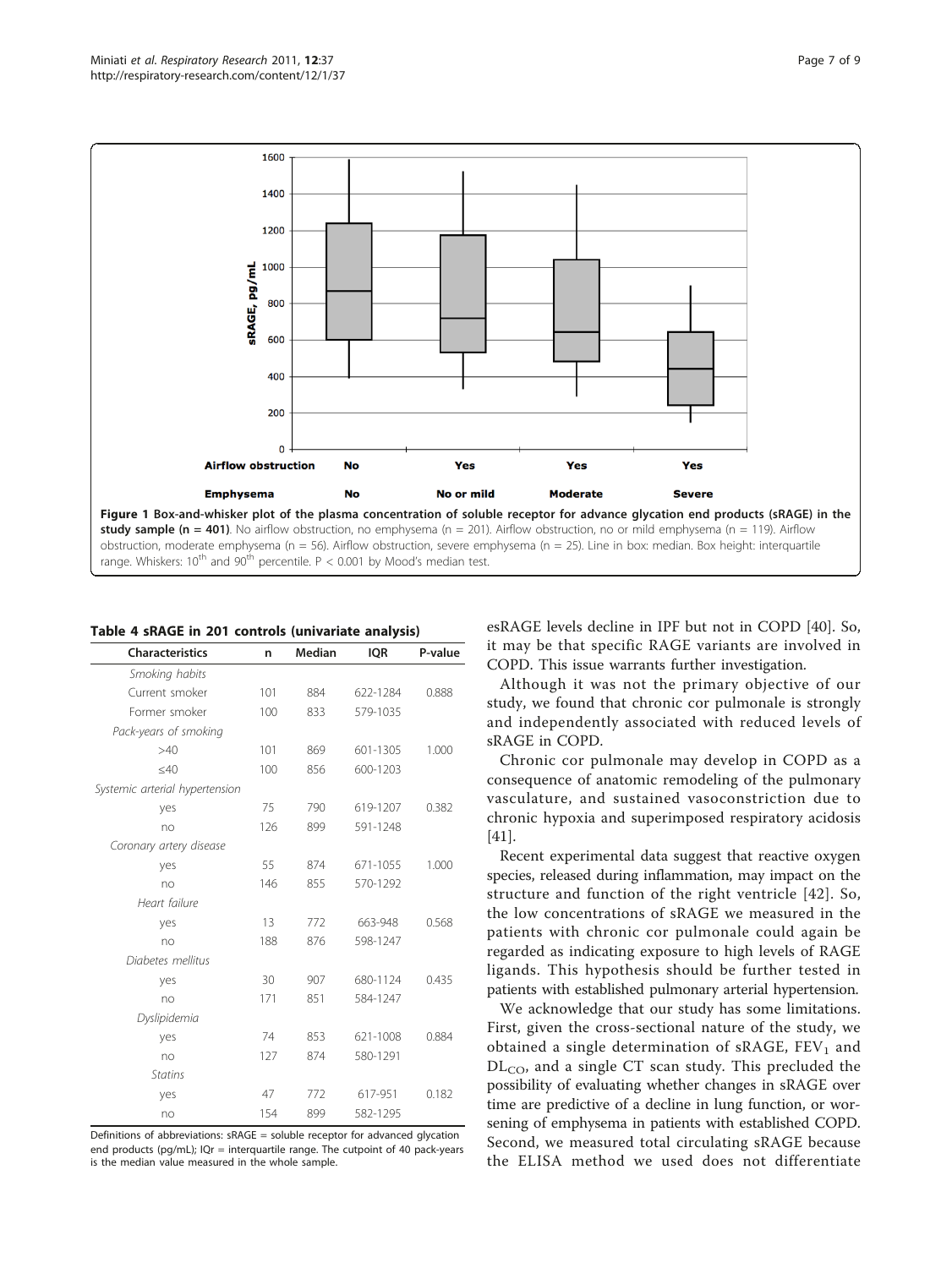<span id="page-6-0"></span>

| <b>Characteristics</b>         | n   | Median | <b>IQR</b> | P-value |
|--------------------------------|-----|--------|------------|---------|
| Smoking habits                 |     |        |            |         |
| Current smoker                 | 101 | 884    | 622-1284   | 0.888   |
| Former smoker                  | 100 | 833    | 579-1035   |         |
| Pack-years of smoking          |     |        |            |         |
| >40                            | 101 | 869    | 601-1305   | 1.000   |
| $<$ 40                         | 100 | 856    | 600-1203   |         |
| Systemic arterial hypertension |     |        |            |         |
| yes                            | 75  | 790    | 619-1207   | 0.382   |
| no                             | 126 | 899    | 591-1248   |         |
| Coronary artery disease        |     |        |            |         |
| yes                            | 55  | 874    | 671-1055   | 1.000   |
| no                             | 146 | 855    | 570-1292   |         |
| Heart failure                  |     |        |            |         |
| yes                            | 13  | 772    | 663-948    | 0.568   |
| no                             | 188 | 876    | 598-1247   |         |
| Diabetes mellitus              |     |        |            |         |
| yes                            | 30  | 907    | 680-1124   | 0.435   |
| no                             | 171 | 851    | 584-1247   |         |
| Dyslipidemia                   |     |        |            |         |
| yes                            | 74  | 853    | 621-1008   | 0.884   |
| no                             | 127 | 874    | 580-1291   |         |
| <b>Statins</b>                 |     |        |            |         |
| yes                            | 47  | 772    | 617-951    | 0.182   |
| no                             | 154 | 899    | 582-1295   |         |

Table 4 sRAGE in 201 controls (univariate analysis)

Definitions of abbreviations: sRAGE = soluble receptor for advanced glycation end products (pg/mL); IQr = interquartile range. The cutpoint of 40 pack-years is the median value measured in the whole sample.

esRAGE levels decline in IPF but not in COPD [[40\]](#page-8-0). So, it may be that specific RAGE variants are involved in COPD. This issue warrants further investigation.

Although it was not the primary objective of our study, we found that chronic cor pulmonale is strongly and independently associated with reduced levels of sRAGE in COPD.

Chronic cor pulmonale may develop in COPD as a consequence of anatomic remodeling of the pulmonary vasculature, and sustained vasoconstriction due to chronic hypoxia and superimposed respiratory acidosis [[41\]](#page-8-0).

Recent experimental data suggest that reactive oxygen species, released during inflammation, may impact on the structure and function of the right ventricle [[42](#page-8-0)]. So, the low concentrations of sRAGE we measured in the patients with chronic cor pulmonale could again be regarded as indicating exposure to high levels of RAGE ligands. This hypothesis should be further tested in patients with established pulmonary arterial hypertension.

We acknowledge that our study has some limitations. First, given the cross-sectional nature of the study, we obtained a single determination of sRAGE,  $FEV<sub>1</sub>$  and  $DL<sub>CO</sub>$ , and a single CT scan study. This precluded the possibility of evaluating whether changes in sRAGE over time are predictive of a decline in lung function, or worsening of emphysema in patients with established COPD. Second, we measured total circulating sRAGE because the ELISA method we used does not differentiate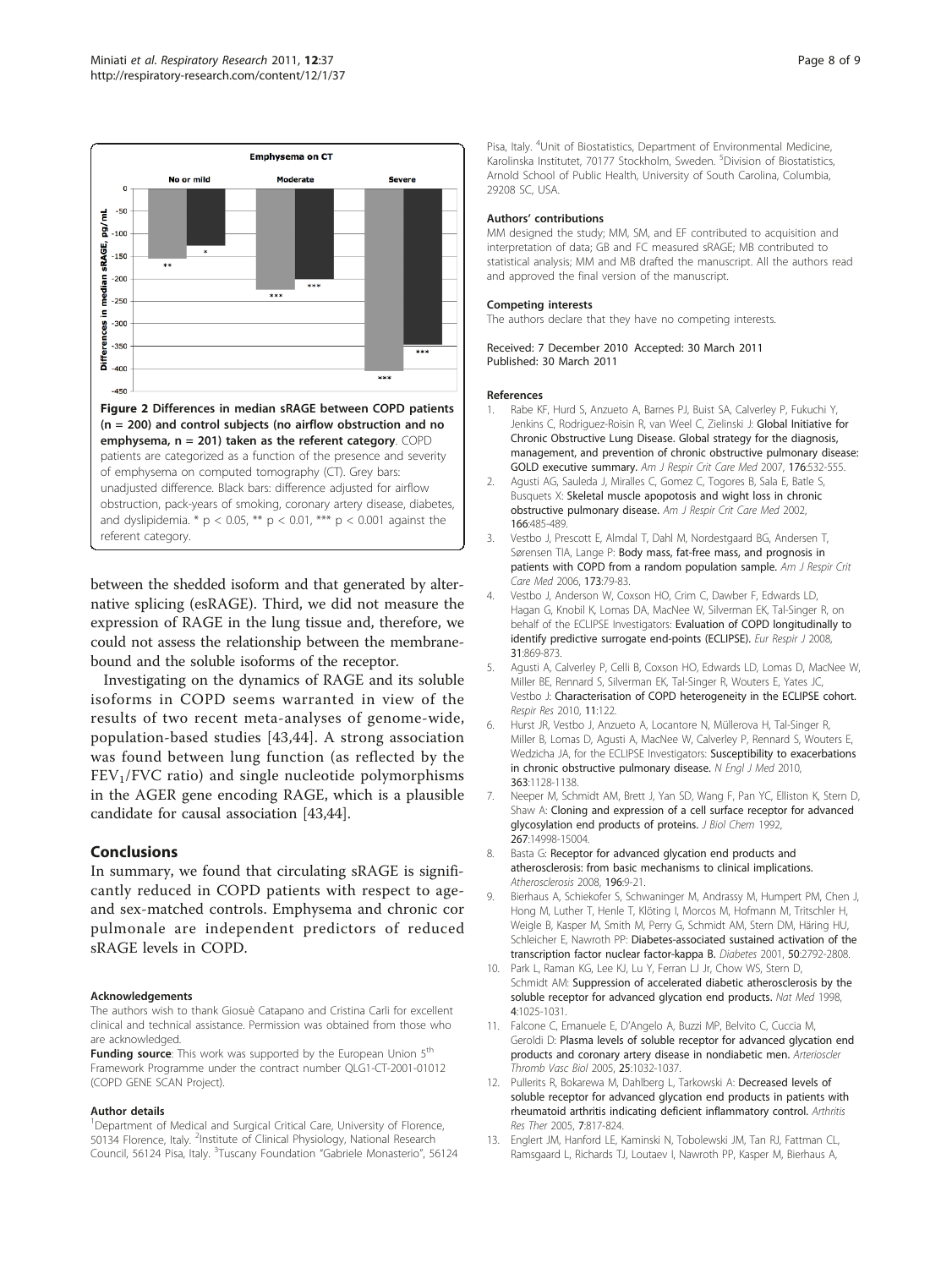

<span id="page-7-0"></span>

between the shedded isoform and that generated by alternative splicing (esRAGE). Third, we did not measure the expression of RAGE in the lung tissue and, therefore, we could not assess the relationship between the membranebound and the soluble isoforms of the receptor.

Investigating on the dynamics of RAGE and its soluble isoforms in COPD seems warranted in view of the results of two recent meta-analyses of genome-wide, population-based studies [[43,44](#page-8-0)]. A strong association was found between lung function (as reflected by the  $FEV<sub>1</sub>/FVC$  ratio) and single nucleotide polymorphisms in the AGER gene encoding RAGE, which is a plausible candidate for causal association [[43,44](#page-8-0)].

## Conclusions

In summary, we found that circulating sRAGE is significantly reduced in COPD patients with respect to ageand sex-matched controls. Emphysema and chronic cor pulmonale are independent predictors of reduced sRAGE levels in COPD.

#### Acknowledgements

The authors wish to thank Giosuè Catapano and Cristina Carli for excellent clinical and technical assistance. Permission was obtained from those who are acknowledged.

**Funding source:** This work was supported by the European Union 5<sup>th</sup> Framework Programme under the contract number QLG1-CT-2001-01012 (COPD GENE SCAN Project).

#### Author details

<sup>1</sup>Department of Medical and Surgical Critical Care, University of Florence, 50134 Florence, Italy. <sup>2</sup>Institute of Clinical Physiology, National Research Council, 56124 Pisa, Italy. <sup>3</sup>Tuscany Foundation "Gabriele Monasterio", 56124

Pisa, Italy. <sup>4</sup>Unit of Biostatistics, Department of Environmental Medicine, Karolinska Institutet, 70177 Stockholm, Sweden. <sup>5</sup>Division of Biostatistics Arnold School of Public Health, University of South Carolina, Columbia, 29208 SC, USA.

#### Authors' contributions

MM designed the study; MM, SM, and EF contributed to acquisition and interpretation of data; GB and FC measured sRAGE; MB contributed to statistical analysis; MM and MB drafted the manuscript. All the authors read and approved the final version of the manuscript.

#### Competing interests

The authors declare that they have no competing interests.

Received: 7 December 2010 Accepted: 30 March 2011 Published: 30 March 2011

#### References

- 1. Rabe KF, Hurd S, Anzueto A, Barnes PJ, Buist SA, Calverley P, Fukuchi Y, Jenkins C, Rodriguez-Roisin R, van Weel C, Zielinski J: [Global Initiative for](http://www.ncbi.nlm.nih.gov/pubmed/17507545?dopt=Abstract) [Chronic Obstructive Lung Disease. Global strategy for the diagnosis,](http://www.ncbi.nlm.nih.gov/pubmed/17507545?dopt=Abstract) [management, and prevention of chronic obstructive pulmonary disease:](http://www.ncbi.nlm.nih.gov/pubmed/17507545?dopt=Abstract) [GOLD executive summary.](http://www.ncbi.nlm.nih.gov/pubmed/17507545?dopt=Abstract) Am J Respir Crit Care Med 2007, 176:532-555.
- 2. Agusti AG, Sauleda J, Miralles C, Gomez C, Togores B, Sala E, Batle S, Busquets X: [Skeletal muscle apopotosis and wight loss in chronic](http://www.ncbi.nlm.nih.gov/pubmed/12186825?dopt=Abstract) [obstructive pulmonary disease.](http://www.ncbi.nlm.nih.gov/pubmed/12186825?dopt=Abstract) Am J Respir Crit Care Med 2002, 166:485-489.
- 3. Vestbo J, Prescott E, Almdal T, Dahl M, Nordestgaard BG, Andersen T, Sørensen TIA, Lange P: [Body mass, fat-free mass, and prognosis in](http://www.ncbi.nlm.nih.gov/pubmed/16368793?dopt=Abstract) [patients with COPD from a random population sample.](http://www.ncbi.nlm.nih.gov/pubmed/16368793?dopt=Abstract) Am J Respir Crit Care Med 2006, 173:79-83.
- Vestbo J, Anderson W, Coxson HO, Crim C, Dawber F, Edwards LD, Hagan G, Knobil K, Lomas DA, MacNee W, Silverman EK, Tal-Singer R, on behalf of the ECLIPSE Investigators: [Evaluation of COPD longitudinally to](http://www.ncbi.nlm.nih.gov/pubmed/18216052?dopt=Abstract) [identify predictive surrogate end-points \(ECLIPSE\).](http://www.ncbi.nlm.nih.gov/pubmed/18216052?dopt=Abstract) Eur Respir J 2008, 31:869-873.
- Agusti A, Calverley P, Celli B, Coxson HO, Edwards LD, Lomas D, MacNee W, Miller BE, Rennard S, Silverman EK, Tal-Singer R, Wouters E, Yates JC, Vestbo J: [Characterisation of COPD heterogeneity in the ECLIPSE cohort.](http://www.ncbi.nlm.nih.gov/pubmed/20831787?dopt=Abstract) Respir Res 2010, 11:122.
- 6. Hurst JR, Vestbo J, Anzueto A, Locantore N, Müllerova H, Tal-Singer R, Miller B, Lomas D, Agusti A, MacNee W, Calverley P, Rennard S, Wouters E, Wedzicha JA, for the ECLIPSE Investigators: [Susceptibility to exacerbations](http://www.ncbi.nlm.nih.gov/pubmed/20843247?dopt=Abstract) [in chronic obstructive pulmonary disease.](http://www.ncbi.nlm.nih.gov/pubmed/20843247?dopt=Abstract) N Engl J Med 2010, 363:1128-1138.
- 7. Neeper M, Schmidt AM, Brett J, Yan SD, Wang F, Pan YC, Elliston K, Stern D, Shaw A: [Cloning and expression of a cell surface receptor for advanced](http://www.ncbi.nlm.nih.gov/pubmed/1378843?dopt=Abstract) [glycosylation end products of proteins.](http://www.ncbi.nlm.nih.gov/pubmed/1378843?dopt=Abstract) J Biol Chem 1992, 267:14998-15004.
- Basta G: [Receptor for advanced glycation end products and](http://www.ncbi.nlm.nih.gov/pubmed/17826783?dopt=Abstract) [atherosclerosis: from basic mechanisms to clinical implications.](http://www.ncbi.nlm.nih.gov/pubmed/17826783?dopt=Abstract) Atherosclerosis 2008, 196:9-21.
- 9. Bierhaus A, Schiekofer S, Schwaninger M, Andrassy M, Humpert PM, Chen J, Hong M, Luther T, Henle T, Klöting I, Morcos M, Hofmann M, Tritschler H, Weigle B, Kasper M, Smith M, Perry G, Schmidt AM, Stern DM, Häring HU, Schleicher E, Nawroth PP: [Diabetes-associated sustained activation of the](http://www.ncbi.nlm.nih.gov/pubmed/11723063?dopt=Abstract) [transcription factor nuclear factor-kappa B.](http://www.ncbi.nlm.nih.gov/pubmed/11723063?dopt=Abstract) Diabetes 2001, 50:2792-2808.
- 10. Park L, Raman KG, Lee KJ, Lu Y, Ferran LJ Jr, Chow WS, Stern D, Schmidt AM: [Suppression of accelerated diabetic atherosclerosis by the](http://www.ncbi.nlm.nih.gov/pubmed/9734395?dopt=Abstract) [soluble receptor for advanced glycation end products.](http://www.ncbi.nlm.nih.gov/pubmed/9734395?dopt=Abstract) Nat Med 1998, 4:1025-1031.
- 11. Falcone C, Emanuele E, D'Angelo A, Buzzi MP, Belvito C, Cuccia M, Geroldi D: [Plasma levels of soluble receptor for advanced glycation end](http://www.ncbi.nlm.nih.gov/pubmed/15731496?dopt=Abstract) [products and coronary artery disease in nondiabetic men.](http://www.ncbi.nlm.nih.gov/pubmed/15731496?dopt=Abstract) Arterioscler Thromb Vasc Biol 2005, 25:1032-1037.
- 12. Pullerits R, Bokarewa M, Dahlberg L, Tarkowski A: Decreased levels of soluble receptor for advanced glycation end products in patients with rheumatoid arthritis indicating deficient inflammatory control. Arthritis Res Ther 2005, 7:817-824.
- 13. Englert JM, Hanford LE, Kaminski N, Tobolewski JM, Tan RJ, Fattman CL, Ramsgaard L, Richards TJ, Loutaev I, Nawroth PP, Kasper M, Bierhaus A,